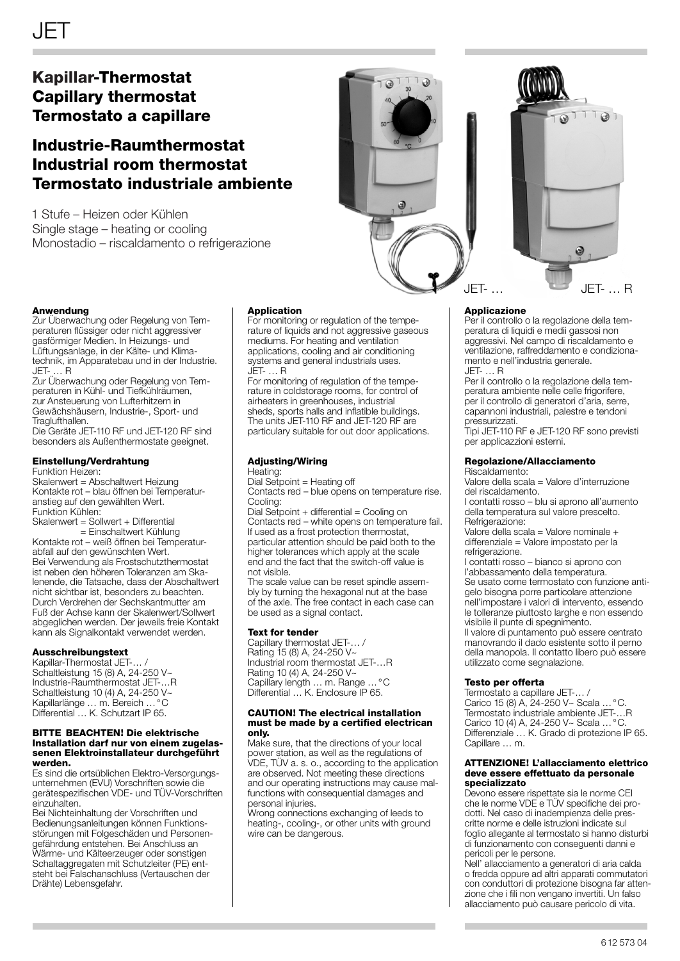# **Kapillar-Thermostat Capillary thermostat Termostato a capillare**

# **Industrie-Raumthermostat Industrial room thermostat Termostato industriale ambiente**

1 Stufe – Heizen oder Kühlen Single stage – heating or cooling Monostadio – riscaldamento o refrigerazione



Zur Überwachung oder Regelung von Temperaturen flüssiger oder nicht aggressiver gasförmiger Medien. In Heizungs- und Lüftungsanlage, in der Kälte- und Klimatechnik, im Apparatebau und in der Industrie. JET- … R

Zur Überwachung oder Regelung von Temperaturen in Kühl- und Tiefkühlräumen, zur Ansteuerung von Lufterhitzern in Gewächshäusern, Industrie-, Sport- und Traglufthallen.

Die Geräte JET-110 RF und JET-120 RF sind besonders als Außenthermostate geeignet.

## **Einstellung/Verdrahtung**

Funktion Heizen:

Skalenwert = Abschaltwert Heizung Kontakte rot – blau öffnen bei Temperaturanstieg auf den gewählten Wert. Funktion Kühlen:

Skalenwert = Sollwert + Differential = Einschaltwert Kühlung Kontakte rot – weiß öffnen bei Temperaturabfall auf den gewünschten Wert. Bei Verwendung als Frostschutzthermostat ist neben den höheren Toleranzen am Skalenende, die Tatsache, dass der Abschaltwert nicht sichtbar ist, besonders zu beachten. Durch Verdrehen der Sechskantmutter am Fuß der Achse kann der Skalenwert/Sollwert abgeglichen werden. Der jeweils freie Kontakt kann als Signalkontakt verwendet werden.

#### **Ausschreibungstext**

Kapillar-Thermostat JET-. Schaltleistung 15 (8) A, 24-250 V~ Industrie-Raumthermostat JET-…R Schaltleistung 10 (4) A, 24-250 V~ Kapillarlänge … m. Bereich …°C Differential … K. Schutzart IP 65.

#### **BITTE BEACHTEN! Die elektrische Installation darf nur von einem zugelassenen Elektroinstallateur durchgeführt werden.**

Es sind die ortsüblichen Elektro-Versorgungsunternehmen (EVU) Vorschriften sowie die gerätespezifischen VDE- und TÜV-Vorschriften einzuhalten.

Bei Nichteinhaltung der Vorschriften und Bedienungsanleitungen können Funktionsstörungen mit Folgeschäden und Personengefährdung entstehen. Bei Anschluss an Wärme- und Kälteerzeuger oder sonstigen Schaltaggregaten mit Schutzleiter (PE) entsteht bei Falschanschluss (Vertauschen der Drähte) Lebensgefahr.

#### **Application**

For monitoring or regulation of the temperature of liquids and not aggressive gaseous mediums. For heating and ventilation applications, cooling and air conditioning systems and general industrials uses. JET- … R

For monitoring of regulation of the temperature in coldstorage rooms, for control of airheaters in greenhouses, industrial sheds, sports halls and inflatible buildings. The units JET-110 RF and JET-120 RF are particulary suitable for out door applications.

# **Adjusting/Wiring**

Heating: Dial Setpoint = Heating off

Contacts red – blue opens on temperature rise. Cooling:

Dial Setpoint + differential = Cooling on Contacts red – white opens on temperature fail. If used as a frost protection thermostat, particular attention should be paid both to the higher tolerances which apply at the scale end and the fact that the switch-off value is not visible.

The scale value can be reset spindle assembly by turning the hexagonal nut at the base of the axle. The free contact in each case can be used as a signal contact.

#### **Text for tender**

Capillary thermostat JET-… / Rating 15 (8) A, 24-250 V~ Industrial room thermostat JET-…R Rating 10 (4) A, 24-250 V~ Capillary length … m. Range …°C Differential … K. Enclosure IP 65.

#### **CAUTION! The electrical installation must be made by a certified electrican only.**

Make sure, that the directions of your local power station, as well as the regulations of VDE, TÜV a. s. o., according to the application are observed. Not meeting these directions and our operating instructions may cause malfunctions with consequential damages and personal injuries.

Wrong connections exchanging of leeds to heating-, cooling-, or other units with ground wire can be dangerous.





#### **Applicazione**

Per il controllo o la regolazione della temperatura di liquidi e medii gassosi non aggressivi. Nel campo di riscaldamento e ventilazione, raffreddamento e condizionamento e nell'industria generale. JET- … R

Per il controllo o la regolazione della temperatura ambiente nelle celle frigorifere, per il controllo di generatori d'aria, serre, capannoni industriali, palestre e tendoni pressurizzati.

Tipi JET-110 RF e JET-120 RF sono previsti per applicazzioni esterni.

### **Regolazione/Allacciamento**

Riscaldamento:

Valore della scala = Valore d'interruzione del riscaldamento.

I contatti rosso – blu si aprono all'aumento della temperatura sul valore prescelto. Refrigerazione:

Valore della scala = Valore nominale + differenziale = Valore impostato per la refrigerazione.

I contatti rosso – bianco si aprono con l'abbassamento della temperatura. Se usato come termostato con funzione antigelo bisogna porre particolare attenzione

nell'impostare i valori di intervento, essendo le tolleranze piuttosto larghe e non essendo visibile il punte di spegnimento.

Il valore di puntamento può essere centrato manovrando il dado esistente sotto il perno della manopola. Il contatto libero può essere utilizzato come segnalazione.

### **Testo per offerta**

Termostato a capillare JET-… / Carico 15 (8) A, 24-250 V~ Scala …°C. Termostato industriale ambiente JET-…R Carico 10 (4) A, 24-250 V~ Scala …°C. Differenziale … K. Grado di protezione IP 65. Capillare … m.

#### **ATTENZIONE! L'allacciamento elettrico deve essere effettuato da personale specializzato**

Devono essere rispettate sia le norme CEI che le norme VDE e TÜV specifiche dei prodotti. Nel caso di inadempienza delle prescritte norme e delle istruzioni indicate sul foglio allegante al termostato si hanno disturbi di funzionamento con conseguenti danni e pericoli per le persone.

Nell' allacciamento a generatori di aria calda o fredda oppure ad altri apparati commutatori con conduttori di protezione bisogna far attenzione che i fili non vengano invertiti. Un falso allacciamento può causare pericolo di vita.